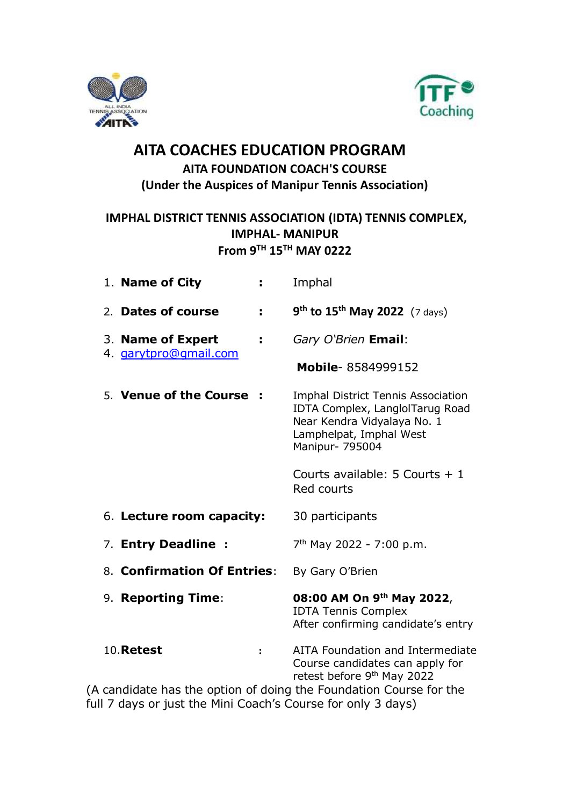



## **AITA COACHES EDUCATION PROGRAM AITA FOUNDATION COACH'S COURSE (Under the Auspices of Manipur Tennis Association)**

### **IMPHAL DISTRICT TENNIS ASSOCIATION (IDTA) TENNIS COMPLEX, IMPHAL- MANIPUR From 9 TH 15TH MAY 0222**

| 1. Name of City             | ÷.             | Imphal                                                                                                                                             |
|-----------------------------|----------------|----------------------------------------------------------------------------------------------------------------------------------------------------|
| 2. Dates of course          | ÷.             | $9^{th}$ to 15 <sup>th</sup> May 2022 (7 days)                                                                                                     |
| 3. Name of Expert           | ÷              | Gary O'Brien Email:                                                                                                                                |
| 4. garytpro@gmail.com       |                | Mobile-8584999152                                                                                                                                  |
| 5. Venue of the Course:     |                | Imphal District Tennis Association<br>IDTA Complex, LanglolTarug Road<br>Near Kendra Vidyalaya No. 1<br>Lamphelpat, Imphal West<br>Manipur- 795004 |
|                             |                | Courts available: $5$ Courts $+1$<br>Red courts                                                                                                    |
| 6. Lecture room capacity:   |                | 30 participants                                                                                                                                    |
| 7. Entry Deadline :         |                | 7 <sup>th</sup> May 2022 - 7:00 p.m.                                                                                                               |
| 8. Confirmation Of Entries: |                | By Gary O'Brien                                                                                                                                    |
| 9. Reporting Time:          |                | 08:00 AM On 9th May 2022,<br><b>IDTA Tennis Complex</b><br>After confirming candidate's entry                                                      |
| <b>10. Retest</b>           | $\ddot{\cdot}$ | AITA Foundation and Intermediate<br>Course candidates can apply for<br>retest before 9 <sup>th</sup> May 2022                                      |
|                             |                | (A candidate has the option of doing the Foundation Course for the                                                                                 |

full 7 days or just the Mini Coach's Course for only 3 days)